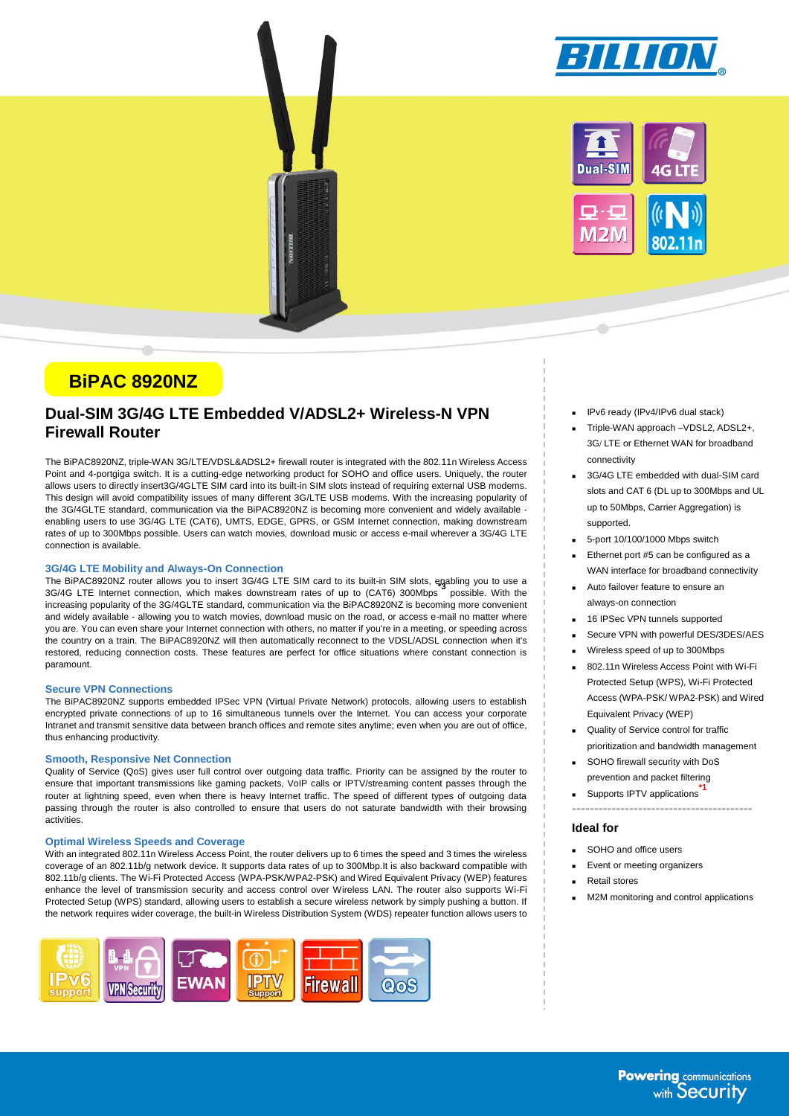



# **BiPAC 8920NZ**

# **Dual-SIM 3G/4G LTE Embedded V/ADSL2+ Wireless-N VPN Firewall Router**

The BiPAC8920NZ, triple-WAN 3G/LTE/VDSL&ADSL2+ firewall router is integrated with the 802.11n Wireless Access Point and 4-portgiga switch. It is a cutting-edge networking product for SOHO and office users. Uniquely, the router allows users to directly insert3G/4GLTE SIM card into its built-in SIM slots instead of requiring external USB modems. This design will avoid compatibility issues of many different 3G/LTE USB modems. With the increasing popularity of the 3G/4GLTE standard, communication via the BiPAC8920NZ is becoming more convenient and widely available enabling users to use 3G/4G LTE (CAT6), UMTS, EDGE, GPRS, or GSM Internet connection, making downstream rates of up to 300Mbps possible. Users can watch movies, download music or access e-mail wherever a 3G/4G LTE connection is available.

### **3G/4G LTE Mobility and Always-On Connection**

The BiPAC8920NZ router allows you to insert 3G/4G LTE SIM card to its built-in SIM slots, enabling you to use a<br>23*015* LTE Living the United States of the United States and the United States and the United States of the U 3G/4G LTE Internet connection, which makes downstream rates of up to (CAT6) 300Mbps possible. With the increasing popularity of the 3G/4GLTE standard, communication via the BiPAC8920NZ is becoming more convenient and widely available - allowing you to watch movies, download music on the road, or access e-mail no matter where you are. You can even share your Internet connection with others, no matter if you're in a meeting, or speeding across the country on a train. The BiPAC8920NZ will then automatically reconnect to the VDSL/ADSL connection when it's restored, reducing connection costs. These features are perfect for office situations where constant connection is paramount.

### **Secure VPN Connections**

The BiPAC8920NZ supports embedded IPSec VPN (Virtual Private Network) protocols, allowing users to establish encrypted private connections of up to 16 simultaneous tunnels over the Internet. You can access your corporate Intranet and transmit sensitive data between branch offices and remote sites anytime; even when you are out of office, thus enhancing productivity.

### **Smooth, Responsive Net Connection**

Quality of Service (QoS) gives user full control over outgoing data traffic. Priority can be assigned by the router to ensure that important transmissions like gaming packets, VoIP calls or IPTV/streaming content passes through the router at lightning speed, even when there is heavy Internet traffic. The speed of different types of outgoing data passing through the router is also controlled to ensure that users do not saturate bandwidth with their browsing activities.

#### **Optimal Wireless Speeds and Coverage**

With an integrated 802.11n Wireless Access Point, the router delivers up to 6 times the speed and 3 times the wireless coverage of an 802.11b/g network device. It supports data rates of up to 300Mbp.It is also backward compatible with 802.11b/g clients. The Wi-Fi Protected Access (WPA-PSK/WPA2-PSK) and Wired Equivalent Privacy (WEP) features enhance the level of transmission security and access control over Wireless LAN. The router also supports Wi-Fi Protected Setup (WPS) standard, allowing users to establish a secure wireless network by simply pushing a button. If the network requires wider coverage, the built-in Wireless Distribution System (WDS) repeater function allows users to



- IPv6 ready (IPv4/IPv6 dual stack)
- Triple-WAN approach –VDSL2, ADSL2+, 3G/ LTE or Ethernet WAN for broadband connectivity
- 3G/4G LTE embedded with dual-SIM card slots and CAT 6 (DL up to 300Mbps and UL up to 50Mbps, Carrier Aggregation) is supported.
- 5-port 10/100/1000 Mbps switch
- Ethernet port #5 can be configured as a WAN interface for broadband connectivity
- Auto failover feature to ensure an always-on connection
- 16 IPSec VPN tunnels supported
- Secure VPN with powerful DES/3DES/AES
- Wireless speed of up to 300Mbps
- 802.11n Wireless Access Point with Wi-Fi Protected Setup (WPS), Wi-Fi Protected Access (WPA-PSK/ WPA2-PSK) and Wired Equivalent Privacy (WEP)
- Quality of Service control for traffic prioritization and bandwidth management
- SOHO firewall security with DoS prevention and packet filtering
- Supports IPTV applications **\*1**
- **-----------------------------------------**

## **Ideal for**

- SOHO and office users
- Event or meeting organizers
- Retail stores
	- M2M monitoring and control applications